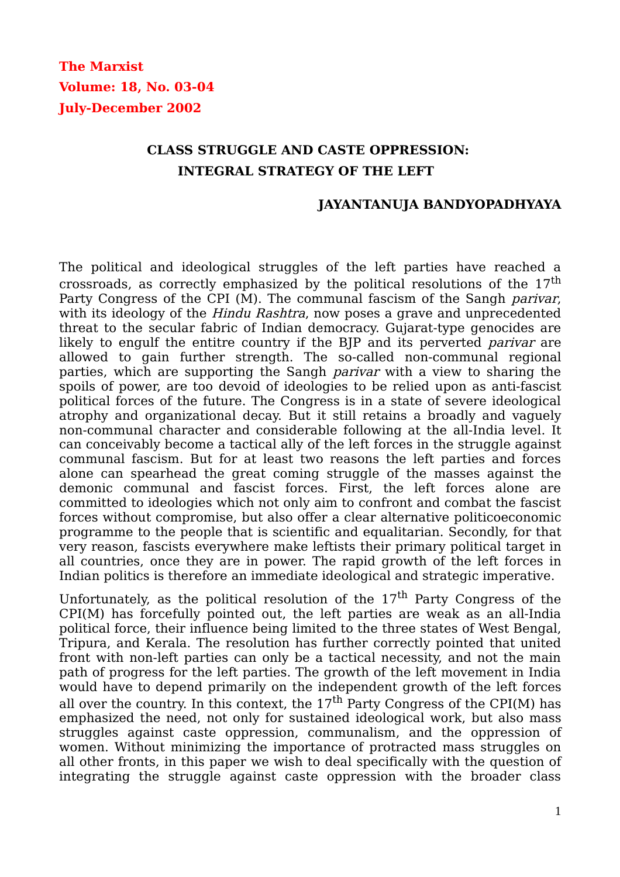**The Marxist Volume: 18, No. 03-04 July-December 2002**

# **CLASS STRUGGLE AND CASTE OPPRESSION: INTEGRAL STRATEGY OF THE LEFT**

#### **JAYANTANUJA BANDYOPADHYAYA**

The political and ideological struggles of the left parties have reached a crossroads, as correctly emphasized by the political resolutions of the 17th Party Congress of the CPI (M). The communal fascism of the Sangh *parivar*, with its ideology of the *Hindu Rashtra*, now poses a grave and unprecedented threat to the secular fabric of Indian democracy. Gujarat-type genocides are likely to engulf the entitre country if the BJP and its perverted *parivar* are allowed to gain further strength. The so-called non-communal regional parties, which are supporting the Sangh parivar with a view to sharing the spoils of power, are too devoid of ideologies to be relied upon as anti-fascist political forces of the future. The Congress is in a state of severe ideological atrophy and organizational decay. But it still retains a broadly and vaguely non-communal character and considerable following at the all-India level. It can conceivably become a tactical ally of the left forces in the struggle against communal fascism. But for at least two reasons the left parties and forces alone can spearhead the great coming struggle of the masses against the demonic communal and fascist forces. First, the left forces alone are committed to ideologies which not only aim to confront and combat the fascist forces without compromise, but also offer a clear alternative politicoeconomic programme to the people that is scientific and equalitarian. Secondly, for that very reason, fascists everywhere make leftists their primary political target in all countries, once they are in power. The rapid growth of the left forces in Indian politics is therefore an immediate ideological and strategic imperative.

Unfortunately, as the political resolution of the  $17<sup>th</sup>$  Party Congress of the CPI(M) has forcefully pointed out, the left parties are weak as an all-India political force, their influence being limited to the three states of West Bengal, Tripura, and Kerala. The resolution has further correctly pointed that united front with non-left parties can only be a tactical necessity, and not the main path of progress for the left parties. The growth of the left movement in India would have to depend primarily on the independent growth of the left forces all over the country. In this context, the  $17<sup>th</sup>$  Party Congress of the CPI(M) has emphasized the need, not only for sustained ideological work, but also mass struggles against caste oppression, communalism, and the oppression of women. Without minimizing the importance of protracted mass struggles on all other fronts, in this paper we wish to deal specifically with the question of integrating the struggle against caste oppression with the broader class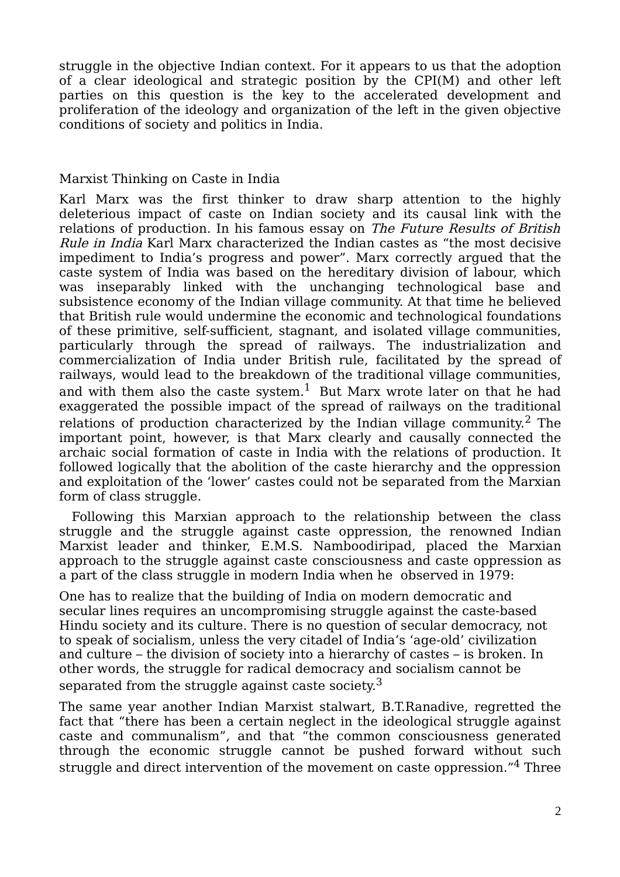struggle in the objective Indian context. For it appears to us that the adoption of a clear ideological and strategic position by the CPI(M) and other left parties on this question is the key to the accelerated development and proliferation of the ideology and organization of the left in the given objective conditions of society and politics in India.

#### Marxist Thinking on Caste in India

Karl Marx was the first thinker to draw sharp attention to the highly deleterious impact of caste on Indian society and its causal link with the relations of production. In his famous essay on The Future Results of British Rule in India Karl Marx characterized the Indian castes as "the most decisive impediment to India's progress and power". Marx correctly argued that the caste system of India was based on the hereditary division of labour, which was inseparably linked with the unchanging technological base and subsistence economy of the Indian village community. At that time he believed that British rule would undermine the economic and technological foundations of these primitive, self-sufficient, stagnant, and isolated village communities, particularly through the spread of railways. The industrialization and commercialization of India under British rule, facilitated by the spread of railways, would lead to the breakdown of the traditional village communities, and with them also the caste system.<sup>1</sup> But Marx wrote later on that he had exaggerated the possible impact of the spread of railways on the traditional relations of production characterized by the Indian village community. $^2$  The important point, however, is that Marx clearly and causally connected the archaic social formation of caste in India with the relations of production. It followed logically that the abolition of the caste hierarchy and the oppression and exploitation of the 'lower' castes could not be separated from the Marxian form of class struggle.

 Following this Marxian approach to the relationship between the class struggle and the struggle against caste oppression, the renowned Indian Marxist leader and thinker, E.M.S. Namboodiripad, placed the Marxian approach to the struggle against caste consciousness and caste oppression as a part of the class struggle in modern India when he observed in 1979:

One has to realize that the building of India on modern democratic and secular lines requires an uncompromising struggle against the caste-based Hindu society and its culture. There is no question of secular democracy, not to speak of socialism, unless the very citadel of India's 'age-old' civilization and culture – the division of society into a hierarchy of castes – is broken. In other words, the struggle for radical democracy and socialism cannot be separated from the struggle against caste society.<sup>3</sup>

The same year another Indian Marxist stalwart, B.T.Ranadive, regretted the fact that "there has been a certain neglect in the ideological struggle against caste and communalism", and that "the common consciousness generated through the economic struggle cannot be pushed forward without such struggle and direct intervention of the movement on caste oppression."<sup>4</sup> Three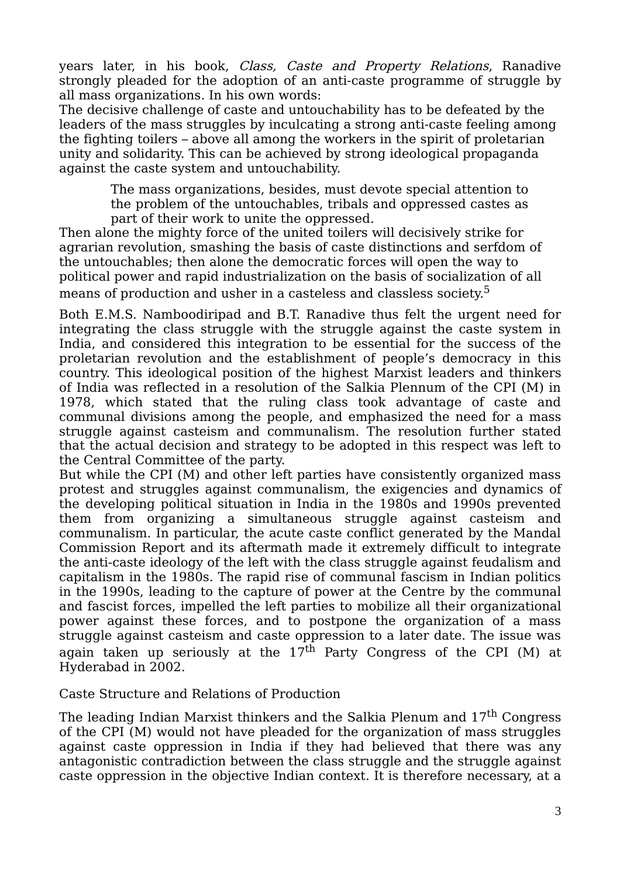years later, in his book, Class, Caste and Property Relations, Ranadive strongly pleaded for the adoption of an anti-caste programme of struggle by all mass organizations. In his own words:

The decisive challenge of caste and untouchability has to be defeated by the leaders of the mass struggles by inculcating a strong anti-caste feeling among the fighting toilers – above all among the workers in the spirit of proletarian unity and solidarity. This can be achieved by strong ideological propaganda against the caste system and untouchability.

The mass organizations, besides, must devote special attention to the problem of the untouchables, tribals and oppressed castes as part of their work to unite the oppressed.

Then alone the mighty force of the united toilers will decisively strike for agrarian revolution, smashing the basis of caste distinctions and serfdom of the untouchables; then alone the democratic forces will open the way to political power and rapid industrialization on the basis of socialization of all means of production and usher in a casteless and classless society.<sup>5</sup>

Both E.M.S. Namboodiripad and B.T. Ranadive thus felt the urgent need for integrating the class struggle with the struggle against the caste system in India, and considered this integration to be essential for the success of the proletarian revolution and the establishment of people's democracy in this country. This ideological position of the highest Marxist leaders and thinkers of India was reflected in a resolution of the Salkia Plennum of the CPI (M) in 1978, which stated that the ruling class took advantage of caste and communal divisions among the people, and emphasized the need for a mass struggle against casteism and communalism. The resolution further stated that the actual decision and strategy to be adopted in this respect was left to the Central Committee of the party.

But while the CPI (M) and other left parties have consistently organized mass protest and struggles against communalism, the exigencies and dynamics of the developing political situation in India in the 1980s and 1990s prevented them from organizing a simultaneous struggle against casteism and communalism. In particular, the acute caste conflict generated by the Mandal Commission Report and its aftermath made it extremely difficult to integrate the anti-caste ideology of the left with the class struggle against feudalism and capitalism in the 1980s. The rapid rise of communal fascism in Indian politics in the 1990s, leading to the capture of power at the Centre by the communal and fascist forces, impelled the left parties to mobilize all their organizational power against these forces, and to postpone the organization of a mass struggle against casteism and caste oppression to a later date. The issue was again taken up seriously at the  $17<sup>th</sup>$  Party Congress of the CPI (M) at Hyderabad in 2002.

### Caste Structure and Relations of Production

The leading Indian Marxist thinkers and the Salkia Plenum and  $17<sup>th</sup>$  Congress of the CPI (M) would not have pleaded for the organization of mass struggles against caste oppression in India if they had believed that there was any antagonistic contradiction between the class struggle and the struggle against caste oppression in the objective Indian context. It is therefore necessary, at a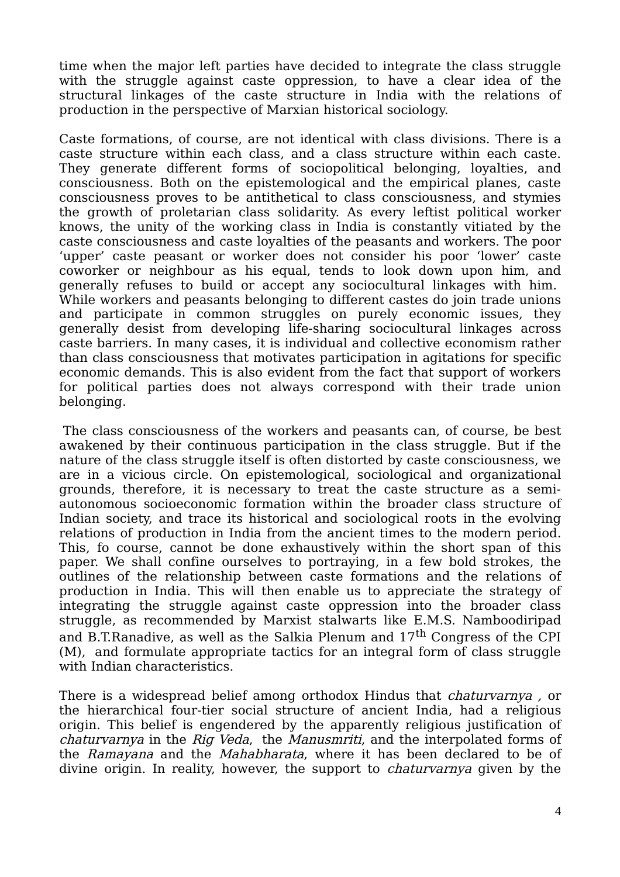time when the major left parties have decided to integrate the class struggle with the struggle against caste oppression, to have a clear idea of the structural linkages of the caste structure in India with the relations of production in the perspective of Marxian historical sociology.

Caste formations, of course, are not identical with class divisions. There is a caste structure within each class, and a class structure within each caste. They generate different forms of sociopolitical belonging, loyalties, and consciousness. Both on the epistemological and the empirical planes, caste consciousness proves to be antithetical to class consciousness, and stymies the growth of proletarian class solidarity. As every leftist political worker knows, the unity of the working class in India is constantly vitiated by the caste consciousness and caste loyalties of the peasants and workers. The poor 'upper' caste peasant or worker does not consider his poor 'lower' caste coworker or neighbour as his equal, tends to look down upon him, and generally refuses to build or accept any sociocultural linkages with him. While workers and peasants belonging to different castes do join trade unions and participate in common struggles on purely economic issues, they generally desist from developing life-sharing sociocultural linkages across caste barriers. In many cases, it is individual and collective economism rather than class consciousness that motivates participation in agitations for specific economic demands. This is also evident from the fact that support of workers for political parties does not always correspond with their trade union belonging.

The class consciousness of the workers and peasants can, of course, be best awakened by their continuous participation in the class struggle. But if the nature of the class struggle itself is often distorted by caste consciousness, we are in a vicious circle. On epistemological, sociological and organizational grounds, therefore, it is necessary to treat the caste structure as a semiautonomous socioeconomic formation within the broader class structure of Indian society, and trace its historical and sociological roots in the evolving relations of production in India from the ancient times to the modern period. This, fo course, cannot be done exhaustively within the short span of this paper. We shall confine ourselves to portraying, in a few bold strokes, the outlines of the relationship between caste formations and the relations of production in India. This will then enable us to appreciate the strategy of integrating the struggle against caste oppression into the broader class struggle, as recommended by Marxist stalwarts like E.M.S. Namboodiripad and B.T.Ranadive, as well as the Salkia Plenum and  $17<sup>th</sup>$  Congress of the CPI (M), and formulate appropriate tactics for an integral form of class struggle with Indian characteristics.

There is a widespread belief among orthodox Hindus that *chaturvarnya*, or the hierarchical four-tier social structure of ancient India, had a religious origin. This belief is engendered by the apparently religious justification of chaturvarnya in the Rig Veda, the Manusmriti, and the interpolated forms of the Ramayana and the Mahabharata, where it has been declared to be of divine origin. In reality, however, the support to *chaturvarnya* given by the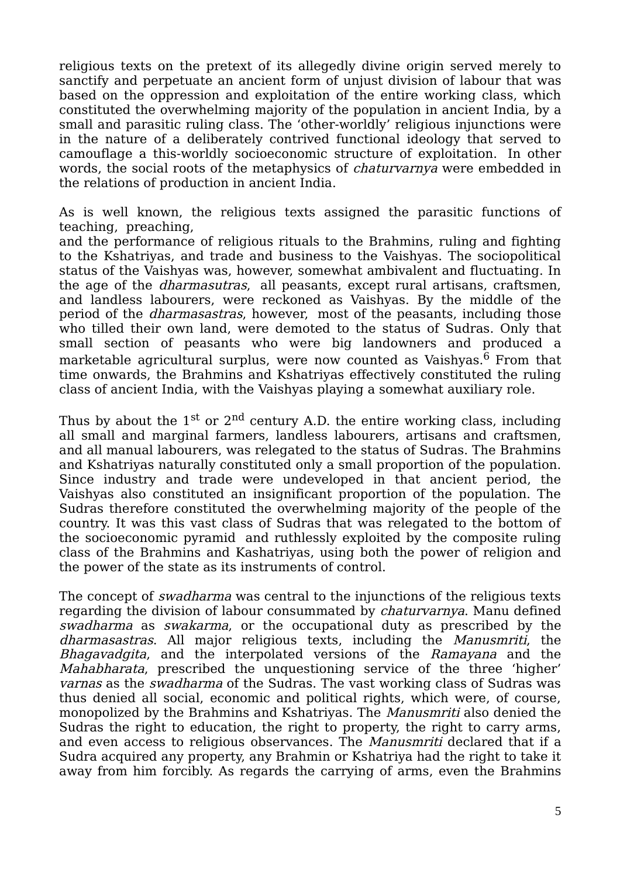religious texts on the pretext of its allegedly divine origin served merely to sanctify and perpetuate an ancient form of unjust division of labour that was based on the oppression and exploitation of the entire working class, which constituted the overwhelming majority of the population in ancient India, by a small and parasitic ruling class. The 'other-worldly' religious injunctions were in the nature of a deliberately contrived functional ideology that served to camouflage a this-worldly socioeconomic structure of exploitation. In other words, the social roots of the metaphysics of *chaturvarnya* were embedded in the relations of production in ancient India.

As is well known, the religious texts assigned the parasitic functions of teaching, preaching,

and the performance of religious rituals to the Brahmins, ruling and fighting to the Kshatriyas, and trade and business to the Vaishyas. The sociopolitical status of the Vaishyas was, however, somewhat ambivalent and fluctuating. In the age of the dharmasutras, all peasants, except rural artisans, craftsmen, and landless labourers, were reckoned as Vaishyas. By the middle of the period of the dharmasastras, however, most of the peasants, including those who tilled their own land, were demoted to the status of Sudras. Only that small section of peasants who were big landowners and produced a marketable agricultural surplus, were now counted as Vaishyas. $6$  From that time onwards, the Brahmins and Kshatriyas effectively constituted the ruling class of ancient India, with the Vaishyas playing a somewhat auxiliary role.

Thus by about the  $1^{st}$  or  $2^{nd}$  century A.D. the entire working class, including all small and marginal farmers, landless labourers, artisans and craftsmen, and all manual labourers, was relegated to the status of Sudras. The Brahmins and Kshatriyas naturally constituted only a small proportion of the population. Since industry and trade were undeveloped in that ancient period, the Vaishyas also constituted an insignificant proportion of the population. The Sudras therefore constituted the overwhelming majority of the people of the country. It was this vast class of Sudras that was relegated to the bottom of the socioeconomic pyramid and ruthlessly exploited by the composite ruling class of the Brahmins and Kashatriyas, using both the power of religion and the power of the state as its instruments of control.

The concept of *swadharma* was central to the injunctions of the religious texts regarding the division of labour consummated by *chaturvarnya*. Manu defined swadharma as swakarma, or the occupational duty as prescribed by the dharmasastras. All major religious texts, including the Manusmriti, the Bhagavadgita, and the interpolated versions of the Ramayana and the Mahabharata, prescribed the unquestioning service of the three 'higher' varnas as the swadharma of the Sudras. The vast working class of Sudras was thus denied all social, economic and political rights, which were, of course, monopolized by the Brahmins and Kshatriyas. The Manusmriti also denied the Sudras the right to education, the right to property, the right to carry arms, and even access to religious observances. The Manusmriti declared that if a Sudra acquired any property, any Brahmin or Kshatriya had the right to take it away from him forcibly. As regards the carrying of arms, even the Brahmins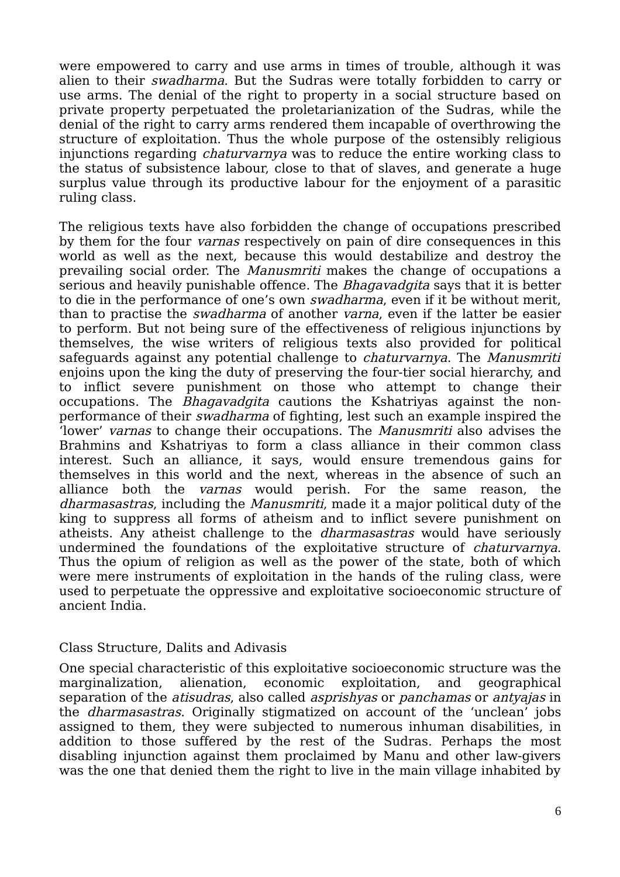were empowered to carry and use arms in times of trouble, although it was alien to their swadharma. But the Sudras were totally forbidden to carry or use arms. The denial of the right to property in a social structure based on private property perpetuated the proletarianization of the Sudras, while the denial of the right to carry arms rendered them incapable of overthrowing the structure of exploitation. Thus the whole purpose of the ostensibly religious injunctions regarding chaturvarnya was to reduce the entire working class to the status of subsistence labour, close to that of slaves, and generate a huge surplus value through its productive labour for the enjoyment of a parasitic ruling class.

The religious texts have also forbidden the change of occupations prescribed by them for the four varnas respectively on pain of dire consequences in this world as well as the next, because this would destabilize and destroy the prevailing social order. The Manusmriti makes the change of occupations a serious and heavily punishable offence. The *Bhagavadgita* says that it is better to die in the performance of one's own swadharma, even if it be without merit, than to practise the swadharma of another varna, even if the latter be easier to perform. But not being sure of the effectiveness of religious injunctions by themselves, the wise writers of religious texts also provided for political safeguards against any potential challenge to *chaturvarnya*. The *Manusmriti* enjoins upon the king the duty of preserving the four-tier social hierarchy, and to inflict severe punishment on those who attempt to change their occupations. The Bhagavadgita cautions the Kshatriyas against the nonperformance of their swadharma of fighting, lest such an example inspired the 'lower' varnas to change their occupations. The Manusmriti also advises the Brahmins and Kshatriyas to form a class alliance in their common class interest. Such an alliance, it says, would ensure tremendous gains for themselves in this world and the next, whereas in the absence of such an alliance both the varnas would perish. For the same reason, the dharmasastras, including the Manusmriti, made it a major political duty of the king to suppress all forms of atheism and to inflict severe punishment on atheists. Any atheist challenge to the dharmasastras would have seriously undermined the foundations of the exploitative structure of chaturvarnya. Thus the opium of religion as well as the power of the state, both of which were mere instruments of exploitation in the hands of the ruling class, were used to perpetuate the oppressive and exploitative socioeconomic structure of ancient India.

### Class Structure, Dalits and Adivasis

One special characteristic of this exploitative socioeconomic structure was the marginalization, alienation, economic exploitation, and geographical separation of the *atisudras*, also called *asprishyas* or *panchamas* or *antyajas* in the *dharmasastras*. Originally stigmatized on account of the 'unclean' jobs assigned to them, they were subjected to numerous inhuman disabilities, in addition to those suffered by the rest of the Sudras. Perhaps the most disabling injunction against them proclaimed by Manu and other law-givers was the one that denied them the right to live in the main village inhabited by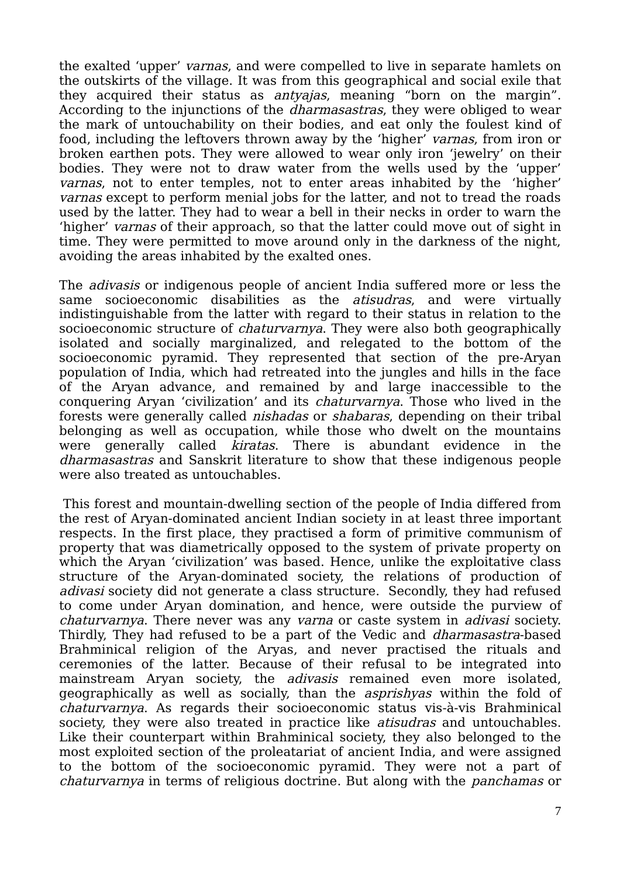the exalted 'upper' varnas, and were compelled to live in separate hamlets on the outskirts of the village. It was from this geographical and social exile that they acquired their status as antyajas, meaning "born on the margin". According to the injunctions of the dharmasastras, they were obliged to wear the mark of untouchability on their bodies, and eat only the foulest kind of food, including the leftovers thrown away by the 'higher' varnas, from iron or broken earthen pots. They were allowed to wear only iron 'jewelry' on their bodies. They were not to draw water from the wells used by the 'upper' varnas, not to enter temples, not to enter areas inhabited by the 'higher' varnas except to perform menial jobs for the latter, and not to tread the roads used by the latter. They had to wear a bell in their necks in order to warn the 'higher' varnas of their approach, so that the latter could move out of sight in time. They were permitted to move around only in the darkness of the night, avoiding the areas inhabited by the exalted ones.

The adivasis or indigenous people of ancient India suffered more or less the same socioeconomic disabilities as the *atisudras*, and were virtually indistinguishable from the latter with regard to their status in relation to the socioeconomic structure of *chaturvarnya*. They were also both geographically isolated and socially marginalized, and relegated to the bottom of the socioeconomic pyramid. They represented that section of the pre-Aryan population of India, which had retreated into the jungles and hills in the face of the Aryan advance, and remained by and large inaccessible to the conquering Aryan 'civilization' and its chaturvarnya. Those who lived in the forests were generally called nishadas or shabaras, depending on their tribal belonging as well as occupation, while those who dwelt on the mountains were generally called kiratas. There is abundant evidence in the dharmasastras and Sanskrit literature to show that these indigenous people were also treated as untouchables.

This forest and mountain-dwelling section of the people of India differed from the rest of Aryan-dominated ancient Indian society in at least three important respects. In the first place, they practised a form of primitive communism of property that was diametrically opposed to the system of private property on which the Aryan 'civilization' was based. Hence, unlike the exploitative class structure of the Aryan-dominated society, the relations of production of adivasi society did not generate a class structure. Secondly, they had refused to come under Aryan domination, and hence, were outside the purview of chaturvarnya. There never was any varna or caste system in adivasi society. Thirdly, They had refused to be a part of the Vedic and *dharmasastra-based* Brahminical religion of the Aryas, and never practised the rituals and ceremonies of the latter. Because of their refusal to be integrated into mainstream Aryan society, the adivasis remained even more isolated, geographically as well as socially, than the asprishyas within the fold of chaturvarnya. As regards their socioeconomic status vis-à-vis Brahminical society, they were also treated in practice like *atisudras* and untouchables. Like their counterpart within Brahminical society, they also belonged to the most exploited section of the proleatariat of ancient India, and were assigned to the bottom of the socioeconomic pyramid. They were not a part of chaturvarnya in terms of religious doctrine. But along with the panchamas or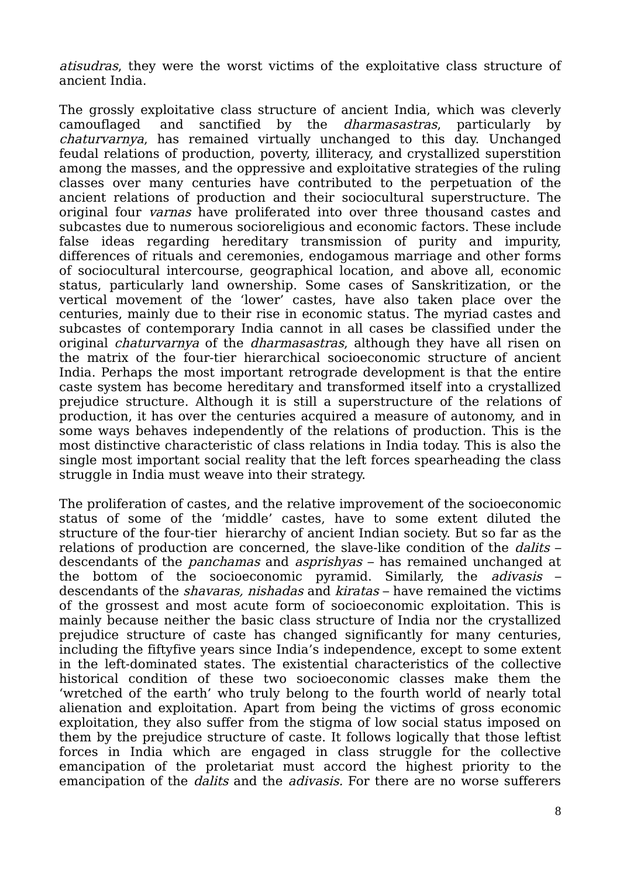atisudras, they were the worst victims of the exploitative class structure of ancient India.

The grossly exploitative class structure of ancient India, which was cleverly camouflaged and sanctified by the dharmasastras, particularly by chaturvarnya, has remained virtually unchanged to this day. Unchanged feudal relations of production, poverty, illiteracy, and crystallized superstition among the masses, and the oppressive and exploitative strategies of the ruling classes over many centuries have contributed to the perpetuation of the ancient relations of production and their sociocultural superstructure. The original four varnas have proliferated into over three thousand castes and subcastes due to numerous socioreligious and economic factors. These include false ideas regarding hereditary transmission of purity and impurity, differences of rituals and ceremonies, endogamous marriage and other forms of sociocultural intercourse, geographical location, and above all, economic status, particularly land ownership. Some cases of Sanskritization, or the vertical movement of the 'lower' castes, have also taken place over the centuries, mainly due to their rise in economic status. The myriad castes and subcastes of contemporary India cannot in all cases be classified under the original *chaturvarnya* of the *dharmasastras*, although they have all risen on the matrix of the four-tier hierarchical socioeconomic structure of ancient India. Perhaps the most important retrograde development is that the entire caste system has become hereditary and transformed itself into a crystallized prejudice structure. Although it is still a superstructure of the relations of production, it has over the centuries acquired a measure of autonomy, and in some ways behaves independently of the relations of production. This is the most distinctive characteristic of class relations in India today. This is also the single most important social reality that the left forces spearheading the class struggle in India must weave into their strategy.

The proliferation of castes, and the relative improvement of the socioeconomic status of some of the 'middle' castes, have to some extent diluted the structure of the four-tier hierarchy of ancient Indian society. But so far as the relations of production are concerned, the slave-like condition of the *dalits* – descendants of the *panchamas* and *asprishyas* – has remained unchanged at the bottom of the socioeconomic pyramid. Similarly, the adivasis – descendants of the *shavaras, nishadas* and *kiratas* – have remained the victims of the grossest and most acute form of socioeconomic exploitation. This is mainly because neither the basic class structure of India nor the crystallized prejudice structure of caste has changed significantly for many centuries, including the fiftyfive years since India's independence, except to some extent in the left-dominated states. The existential characteristics of the collective historical condition of these two socioeconomic classes make them the 'wretched of the earth' who truly belong to the fourth world of nearly total alienation and exploitation. Apart from being the victims of gross economic exploitation, they also suffer from the stigma of low social status imposed on them by the prejudice structure of caste. It follows logically that those leftist forces in India which are engaged in class struggle for the collective emancipation of the proletariat must accord the highest priority to the emancipation of the *dalits* and the *adivasis*. For there are no worse sufferers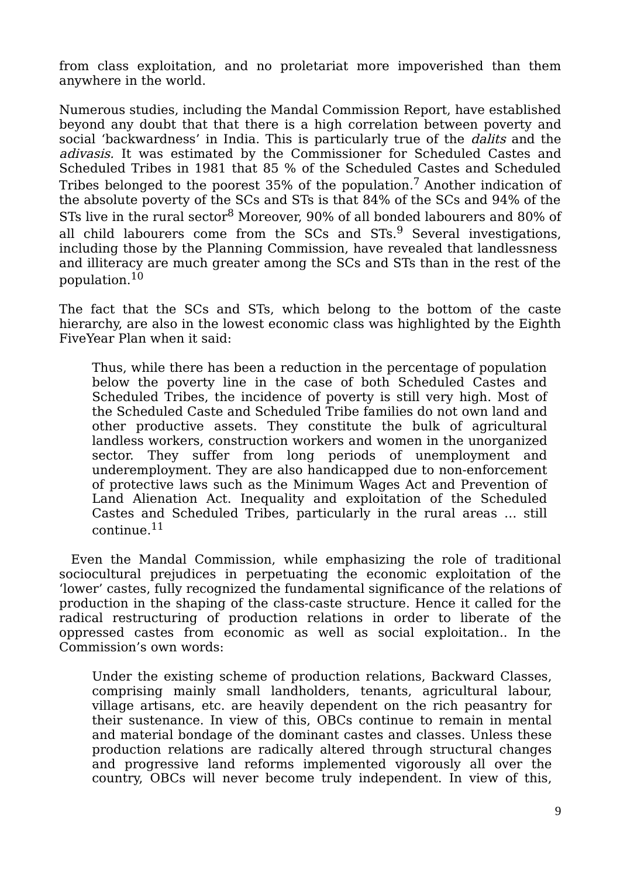from class exploitation, and no proletariat more impoverished than them anywhere in the world.

Numerous studies, including the Mandal Commission Report, have established beyond any doubt that that there is a high correlation between poverty and social 'backwardness' in India. This is particularly true of the *dalits* and the adivasis. It was estimated by the Commissioner for Scheduled Castes and Scheduled Tribes in 1981 that 85 % of the Scheduled Castes and Scheduled Tribes belonged to the poorest  $35\%$  of the population.<sup>7</sup> Another indication of the absolute poverty of the SCs and STs is that 84% of the SCs and 94% of the STs live in the rural sector $^8$  Moreover, 90% of all bonded labourers and 80% of all child labourers come from the SCs and STs.<sup>9</sup> Several investigations, including those by the Planning Commission, have revealed that landlessness and illiteracy are much greater among the SCs and STs than in the rest of the population.<sup>10</sup>

The fact that the SCs and STs, which belong to the bottom of the caste hierarchy, are also in the lowest economic class was highlighted by the Eighth FiveYear Plan when it said:

Thus, while there has been a reduction in the percentage of population below the poverty line in the case of both Scheduled Castes and Scheduled Tribes, the incidence of poverty is still very high. Most of the Scheduled Caste and Scheduled Tribe families do not own land and other productive assets. They constitute the bulk of agricultural landless workers, construction workers and women in the unorganized sector. They suffer from long periods of unemployment and underemployment. They are also handicapped due to non-enforcement of protective laws such as the Minimum Wages Act and Prevention of Land Alienation Act. Inequality and exploitation of the Scheduled Castes and Scheduled Tribes, particularly in the rural areas … still continue.<sup>11</sup>

 Even the Mandal Commission, while emphasizing the role of traditional sociocultural prejudices in perpetuating the economic exploitation of the 'lower' castes, fully recognized the fundamental significance of the relations of production in the shaping of the class-caste structure. Hence it called for the radical restructuring of production relations in order to liberate of the oppressed castes from economic as well as social exploitation.. In the Commission's own words:

Under the existing scheme of production relations, Backward Classes, comprising mainly small landholders, tenants, agricultural labour, village artisans, etc. are heavily dependent on the rich peasantry for their sustenance. In view of this, OBCs continue to remain in mental and material bondage of the dominant castes and classes. Unless these production relations are radically altered through structural changes and progressive land reforms implemented vigorously all over the country, OBCs will never become truly independent. In view of this,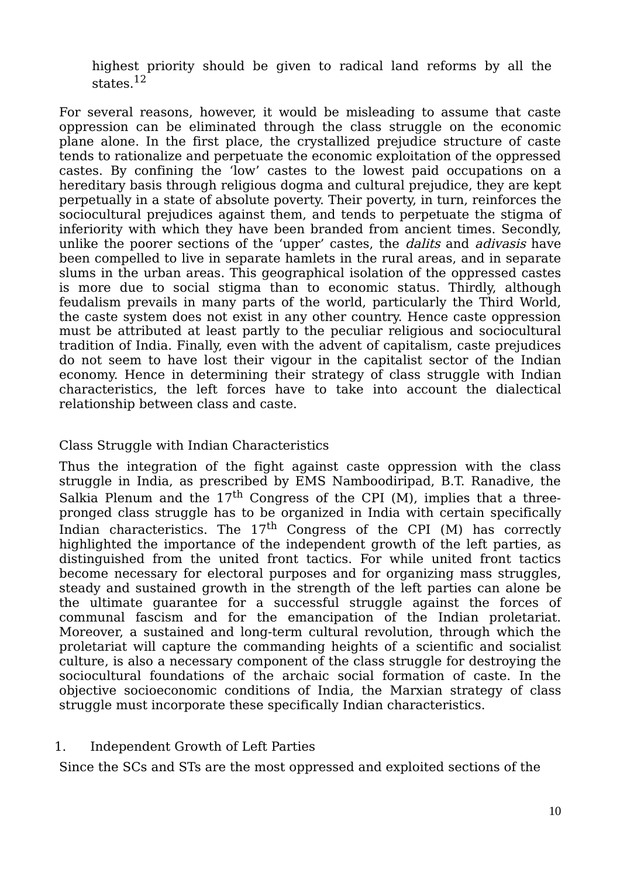highest priority should be given to radical land reforms by all the states  $12$ 

For several reasons, however, it would be misleading to assume that caste oppression can be eliminated through the class struggle on the economic plane alone. In the first place, the crystallized prejudice structure of caste tends to rationalize and perpetuate the economic exploitation of the oppressed castes. By confining the 'low' castes to the lowest paid occupations on a hereditary basis through religious dogma and cultural prejudice, they are kept perpetually in a state of absolute poverty. Their poverty, in turn, reinforces the sociocultural prejudices against them, and tends to perpetuate the stigma of inferiority with which they have been branded from ancient times. Secondly, unlike the poorer sections of the 'upper' castes, the *dalits* and *adivasis* have been compelled to live in separate hamlets in the rural areas, and in separate slums in the urban areas. This geographical isolation of the oppressed castes is more due to social stigma than to economic status. Thirdly, although feudalism prevails in many parts of the world, particularly the Third World, the caste system does not exist in any other country. Hence caste oppression must be attributed at least partly to the peculiar religious and sociocultural tradition of India. Finally, even with the advent of capitalism, caste prejudices do not seem to have lost their vigour in the capitalist sector of the Indian economy. Hence in determining their strategy of class struggle with Indian characteristics, the left forces have to take into account the dialectical relationship between class and caste.

## Class Struggle with Indian Characteristics

Thus the integration of the fight against caste oppression with the class struggle in India, as prescribed by EMS Namboodiripad, B.T. Ranadive, the Salkia Plenum and the  $17<sup>th</sup>$  Congress of the CPI (M), implies that a threepronged class struggle has to be organized in India with certain specifically Indian characteristics. The  $17<sup>th</sup>$  Congress of the CPI (M) has correctly highlighted the importance of the independent growth of the left parties, as distinguished from the united front tactics. For while united front tactics become necessary for electoral purposes and for organizing mass struggles, steady and sustained growth in the strength of the left parties can alone be the ultimate guarantee for a successful struggle against the forces of communal fascism and for the emancipation of the Indian proletariat. Moreover, a sustained and long-term cultural revolution, through which the proletariat will capture the commanding heights of a scientific and socialist culture, is also a necessary component of the class struggle for destroying the sociocultural foundations of the archaic social formation of caste. In the objective socioeconomic conditions of India, the Marxian strategy of class struggle must incorporate these specifically Indian characteristics.

### 1. Independent Growth of Left Parties

Since the SCs and STs are the most oppressed and exploited sections of the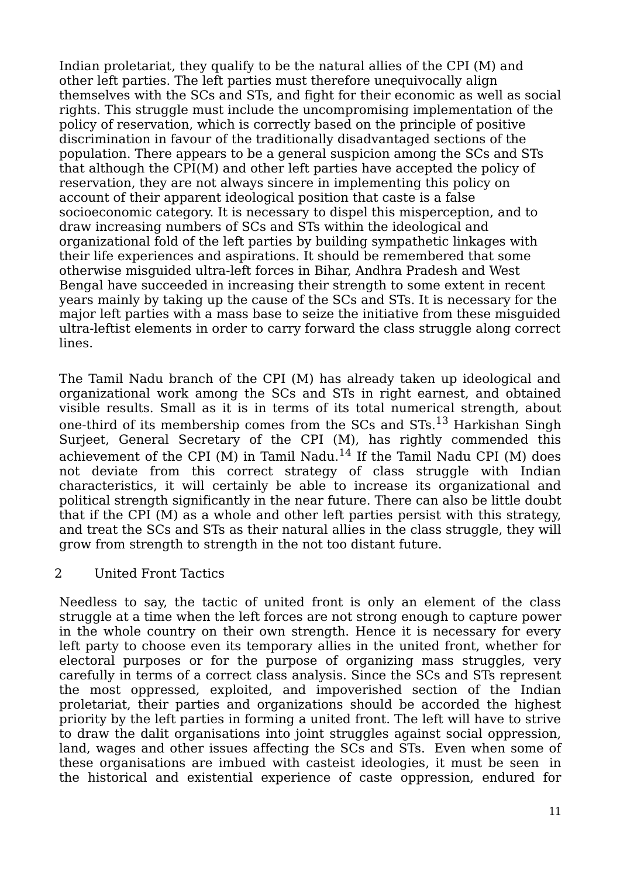Indian proletariat, they qualify to be the natural allies of the CPI (M) and other left parties. The left parties must therefore unequivocally align themselves with the SCs and STs, and fight for their economic as well as social rights. This struggle must include the uncompromising implementation of the policy of reservation, which is correctly based on the principle of positive discrimination in favour of the traditionally disadvantaged sections of the population. There appears to be a general suspicion among the SCs and STs that although the CPI(M) and other left parties have accepted the policy of reservation, they are not always sincere in implementing this policy on account of their apparent ideological position that caste is a false socioeconomic category. It is necessary to dispel this misperception, and to draw increasing numbers of SCs and STs within the ideological and organizational fold of the left parties by building sympathetic linkages with their life experiences and aspirations. It should be remembered that some otherwise misguided ultra-left forces in Bihar, Andhra Pradesh and West Bengal have succeeded in increasing their strength to some extent in recent years mainly by taking up the cause of the SCs and STs. It is necessary for the major left parties with a mass base to seize the initiative from these misguided ultra-leftist elements in order to carry forward the class struggle along correct lines.

The Tamil Nadu branch of the CPI (M) has already taken up ideological and organizational work among the SCs and STs in right earnest, and obtained visible results. Small as it is in terms of its total numerical strength, about one-third of its membership comes from the  $SCs$  and  $STs$ .<sup>13</sup> Harkishan Singh Surjeet, General Secretary of the CPI (M), has rightly commended this achievement of the CPI (M) in Tamil Nadu.<sup>14</sup> If the Tamil Nadu CPI (M) does not deviate from this correct strategy of class struggle with Indian characteristics, it will certainly be able to increase its organizational and political strength significantly in the near future. There can also be little doubt that if the CPI (M) as a whole and other left parties persist with this strategy, and treat the SCs and STs as their natural allies in the class struggle, they will grow from strength to strength in the not too distant future.

2 United Front Tactics

Needless to say, the tactic of united front is only an element of the class struggle at a time when the left forces are not strong enough to capture power in the whole country on their own strength. Hence it is necessary for every left party to choose even its temporary allies in the united front, whether for electoral purposes or for the purpose of organizing mass struggles, very carefully in terms of a correct class analysis. Since the SCs and STs represent the most oppressed, exploited, and impoverished section of the Indian proletariat, their parties and organizations should be accorded the highest priority by the left parties in forming a united front. The left will have to strive to draw the dalit organisations into joint struggles against social oppression, land, wages and other issues affecting the SCs and STs. Even when some of these organisations are imbued with casteist ideologies, it must be seen in the historical and existential experience of caste oppression, endured for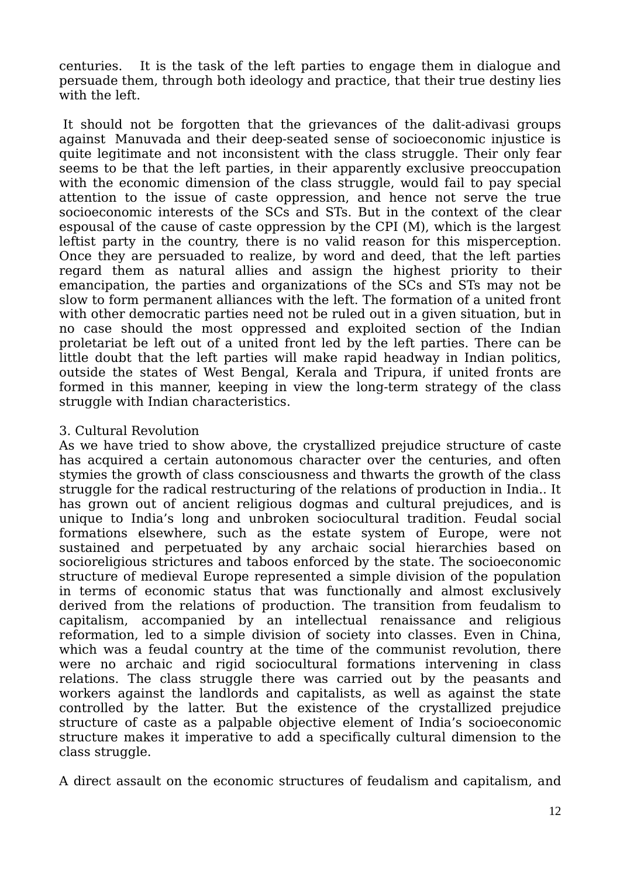centuries. It is the task of the left parties to engage them in dialogue and persuade them, through both ideology and practice, that their true destiny lies with the left.

It should not be forgotten that the grievances of the dalit-adivasi groups against Manuvada and their deep-seated sense of socioeconomic injustice is quite legitimate and not inconsistent with the class struggle. Their only fear seems to be that the left parties, in their apparently exclusive preoccupation with the economic dimension of the class struggle, would fail to pay special attention to the issue of caste oppression, and hence not serve the true socioeconomic interests of the SCs and STs. But in the context of the clear espousal of the cause of caste oppression by the CPI (M), which is the largest leftist party in the country, there is no valid reason for this misperception. Once they are persuaded to realize, by word and deed, that the left parties regard them as natural allies and assign the highest priority to their emancipation, the parties and organizations of the SCs and STs may not be slow to form permanent alliances with the left. The formation of a united front with other democratic parties need not be ruled out in a given situation, but in no case should the most oppressed and exploited section of the Indian proletariat be left out of a united front led by the left parties. There can be little doubt that the left parties will make rapid headway in Indian politics, outside the states of West Bengal, Kerala and Tripura, if united fronts are formed in this manner, keeping in view the long-term strategy of the class struggle with Indian characteristics.

#### 3. Cultural Revolution

As we have tried to show above, the crystallized prejudice structure of caste has acquired a certain autonomous character over the centuries, and often stymies the growth of class consciousness and thwarts the growth of the class struggle for the radical restructuring of the relations of production in India.. It has grown out of ancient religious dogmas and cultural prejudices, and is unique to India's long and unbroken sociocultural tradition. Feudal social formations elsewhere, such as the estate system of Europe, were not sustained and perpetuated by any archaic social hierarchies based on socioreligious strictures and taboos enforced by the state. The socioeconomic structure of medieval Europe represented a simple division of the population in terms of economic status that was functionally and almost exclusively derived from the relations of production. The transition from feudalism to capitalism, accompanied by an intellectual renaissance and religious reformation, led to a simple division of society into classes. Even in China, which was a feudal country at the time of the communist revolution, there were no archaic and rigid sociocultural formations intervening in class relations. The class struggle there was carried out by the peasants and workers against the landlords and capitalists, as well as against the state controlled by the latter. But the existence of the crystallized prejudice structure of caste as a palpable objective element of India's socioeconomic structure makes it imperative to add a specifically cultural dimension to the class struggle.

A direct assault on the economic structures of feudalism and capitalism, and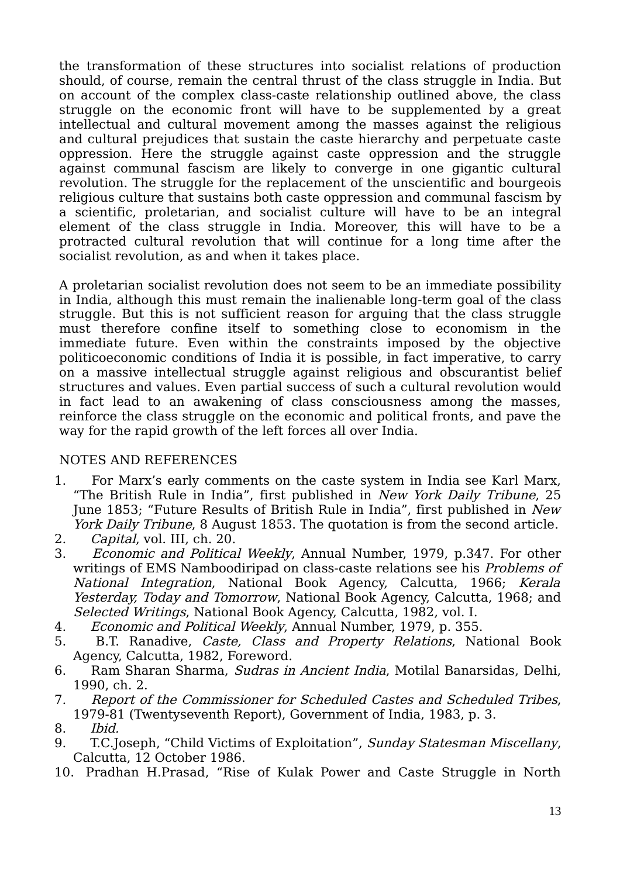the transformation of these structures into socialist relations of production should, of course, remain the central thrust of the class struggle in India. But on account of the complex class-caste relationship outlined above, the class struggle on the economic front will have to be supplemented by a great intellectual and cultural movement among the masses against the religious and cultural prejudices that sustain the caste hierarchy and perpetuate caste oppression. Here the struggle against caste oppression and the struggle against communal fascism are likely to converge in one gigantic cultural revolution. The struggle for the replacement of the unscientific and bourgeois religious culture that sustains both caste oppression and communal fascism by a scientific, proletarian, and socialist culture will have to be an integral element of the class struggle in India. Moreover, this will have to be a protracted cultural revolution that will continue for a long time after the socialist revolution, as and when it takes place.

A proletarian socialist revolution does not seem to be an immediate possibility in India, although this must remain the inalienable long-term goal of the class struggle. But this is not sufficient reason for arguing that the class struggle must therefore confine itself to something close to economism in the immediate future. Even within the constraints imposed by the objective politicoeconomic conditions of India it is possible, in fact imperative, to carry on a massive intellectual struggle against religious and obscurantist belief structures and values. Even partial success of such a cultural revolution would in fact lead to an awakening of class consciousness among the masses, reinforce the class struggle on the economic and political fronts, and pave the way for the rapid growth of the left forces all over India.

### NOTES AND REFERENCES

- 1. For Marx's early comments on the caste system in India see Karl Marx, "The British Rule in India", first published in New York Daily Tribune, 25 June 1853; "Future Results of British Rule in India", first published in New York Daily Tribune, 8 August 1853. The quotation is from the second article.
- 2. Capital, vol. III, ch. 20.
- 3. Economic and Political Weekly, Annual Number, 1979, p.347. For other writings of EMS Namboodiripad on class-caste relations see his Problems of National Integration, National Book Agency, Calcutta, 1966; Kerala Yesterday, Today and Tomorrow, National Book Agency, Calcutta, 1968; and Selected Writings, National Book Agency, Calcutta, 1982, vol. I.
- 4. Economic and Political Weekly, Annual Number, 1979, p. 355.
- 5. B.T. Ranadive, Caste, Class and Property Relations, National Book Agency, Calcutta, 1982, Foreword.
- 6. Ram Sharan Sharma, Sudras in Ancient India, Motilal Banarsidas, Delhi, 1990, ch. 2.
- 7. Report of the Commissioner for Scheduled Castes and Scheduled Tribes, 1979-81 (Twentyseventh Report), Government of India, 1983, p. 3.
- 8. Ibid.
- 9. T.C.Joseph, "Child Victims of Exploitation", Sunday Statesman Miscellany, Calcutta, 12 October 1986.
- 10. Pradhan H.Prasad, "Rise of Kulak Power and Caste Struggle in North